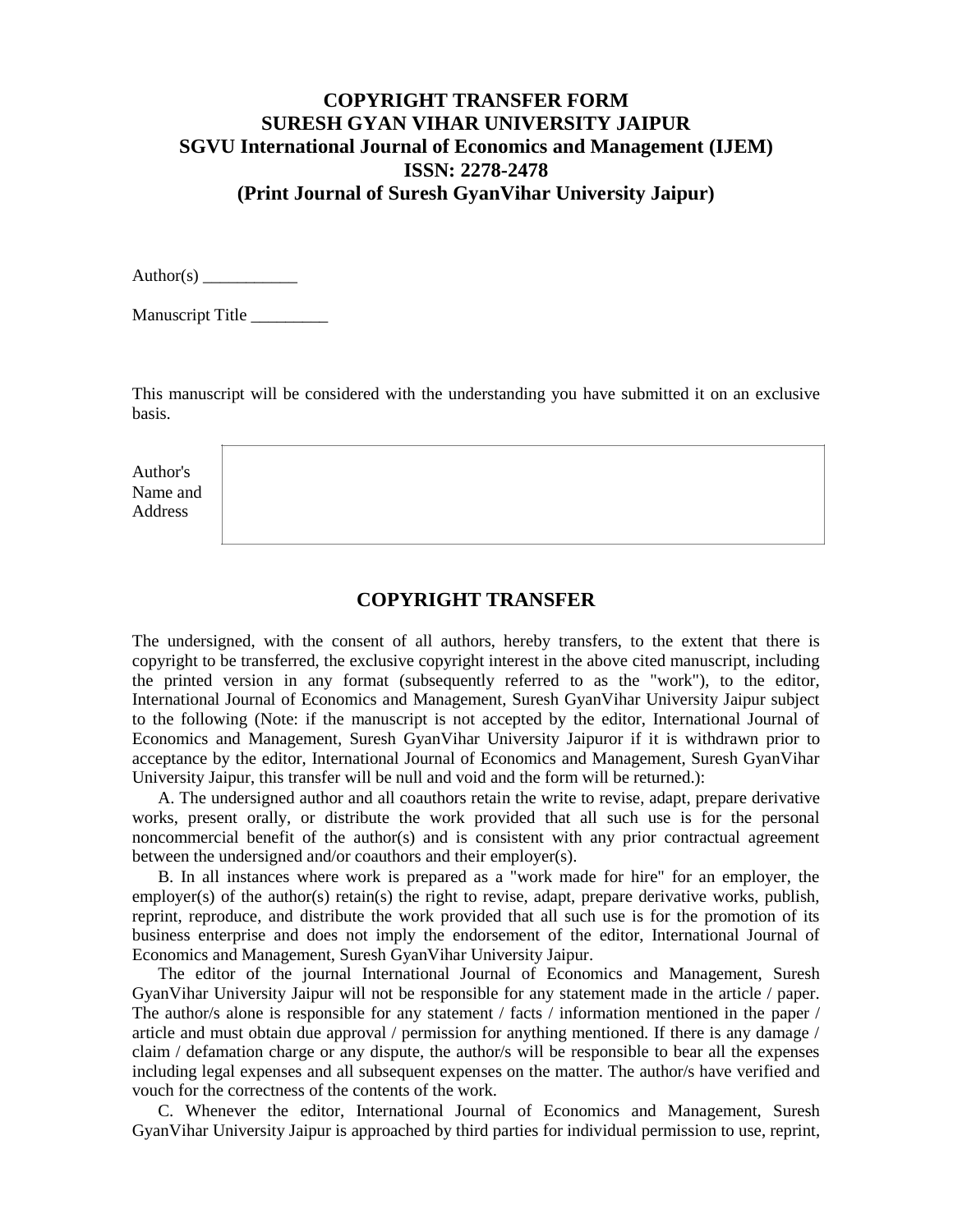## **COPYRIGHT TRANSFER FORM SURESH GYAN VIHAR UNIVERSITY JAIPUR SGVU International Journal of Economics and Management (IJEM) ISSN: 2278-2478 (Print Journal of Suresh GyanVihar University Jaipur)**

Author(s)

Manuscript Title \_\_\_\_\_\_\_\_\_

This manuscript will be considered with the understanding you have submitted it on an exclusive basis.

Author's Name and Address

## **COPYRIGHT TRANSFER**

The undersigned, with the consent of all authors, hereby transfers, to the extent that there is copyright to be transferred, the exclusive copyright interest in the above cited manuscript, including the printed version in any format (subsequently referred to as the "work"), to the editor, International Journal of Economics and Management, Suresh GyanVihar University Jaipur subject to the following (Note: if the manuscript is not accepted by the editor, International Journal of Economics and Management, Suresh GyanVihar University Jaipuror if it is withdrawn prior to acceptance by the editor, International Journal of Economics and Management, Suresh GyanVihar University Jaipur, this transfer will be null and void and the form will be returned.):

A. The undersigned author and all coauthors retain the write to revise, adapt, prepare derivative works, present orally, or distribute the work provided that all such use is for the personal noncommercial benefit of the author(s) and is consistent with any prior contractual agreement between the undersigned and/or coauthors and their employer(s).

B. In all instances where work is prepared as a "work made for hire" for an employer, the employer(s) of the author(s) retain(s) the right to revise, adapt, prepare derivative works, publish, reprint, reproduce, and distribute the work provided that all such use is for the promotion of its business enterprise and does not imply the endorsement of the editor, International Journal of Economics and Management, Suresh GyanVihar University Jaipur.

The editor of the journal International Journal of Economics and Management, Suresh GyanVihar University Jaipur will not be responsible for any statement made in the article / paper. The author/s alone is responsible for any statement / facts / information mentioned in the paper / article and must obtain due approval / permission for anything mentioned. If there is any damage / claim / defamation charge or any dispute, the author/s will be responsible to bear all the expenses including legal expenses and all subsequent expenses on the matter. The author/s have verified and vouch for the correctness of the contents of the work.

C. Whenever the editor, International Journal of Economics and Management, Suresh GyanVihar University Jaipur is approached by third parties for individual permission to use, reprint,